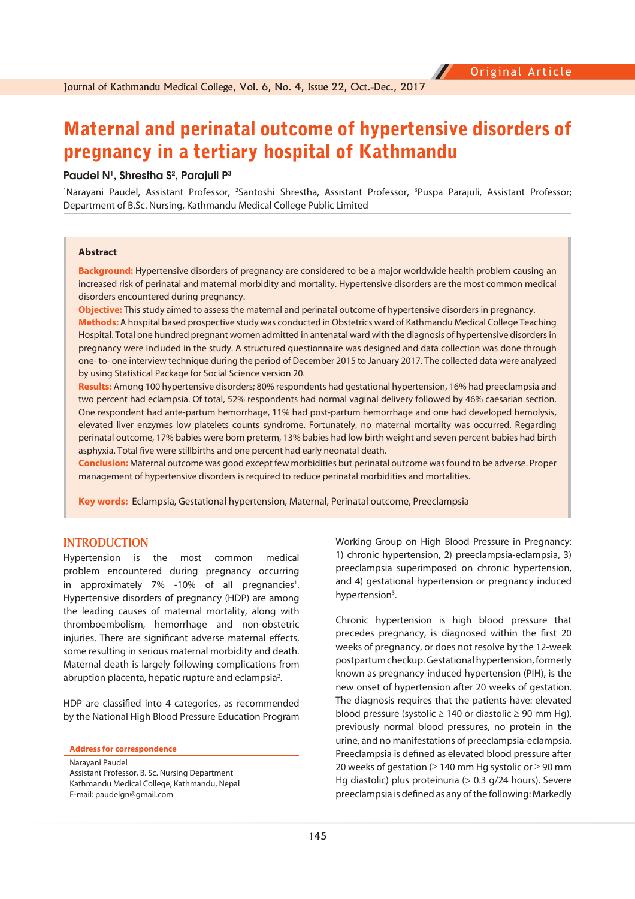# Maternal and perinatal outcome of hypertensive disorders of pregnancy in a tertiary hospital of Kathmandu

#### Paudel N<sup>1</sup>, Shrestha S<sup>2</sup>, Parajuli P<sup>3</sup>

<sup>1</sup>Narayani Paudel, Assistant Professor, <sup>2</sup>Santoshi Shrestha, Assistant Professor, <sup>3</sup>Puspa Parajuli, Assistant Professor; Department of B.Sc. Nursing, Kathmandu Medical College Public Limited

#### **Abstract**

**Background:** Hypertensive disorders of pregnancy are considered to be a major worldwide health problem causing an increased risk of perinatal and maternal morbidity and mortality. Hypertensive disorders are the most common medical disorders encountered during pregnancy.

**Objective:** This study aimed to assess the maternal and perinatal outcome of hypertensive disorders in pregnancy. **Methods:** A hospital based prospective study was conducted in Obstetrics ward of Kathmandu Medical College Teaching Hospital. Total one hundred pregnant women admitted in antenatal ward with the diagnosis of hypertensive disorders in pregnancy were included in the study. A structured questionnaire was designed and data collection was done through one- to- one interview technique during the period of December 2015 to January 2017. The collected data were analyzed by using Statistical Package for Social Science version 20.

**Results:** Among 100 hypertensive disorders; 80% respondents had gestational hypertension, 16% had preeclampsia and two percent had eclampsia. Of total, 52% respondents had normal vaginal delivery followed by 46% caesarian section. One respondent had ante-partum hemorrhage, 11% had post-partum hemorrhage and one had developed hemolysis, elevated liver enzymes low platelets counts syndrome. Fortunately, no maternal mortality was occurred. Regarding perinatal outcome, 17% babies were born preterm, 13% babies had low birth weight and seven percent babies had birth asphyxia. Total five were stillbirths and one percent had early neonatal death.

**Conclusion:** Maternal outcome was good except few morbidities but perinatal outcome was found to be adverse. Proper management of hypertensive disorders is required to reduce perinatal morbidities and mortalities.

**Key words:** Eclampsia, Gestational hypertension, Maternal, Perinatal outcome, Preeclampsia

# **INTRODUCTION**

Hypertension is the most common medical problem encountered during pregnancy occurring in approximately 7% -10% of all pregnancies<sup>1</sup>. Hypertensive disorders of pregnancy (HDP) are among the leading causes of maternal mortality, along with thromboembolism, hemorrhage and non-obstetric injuries. There are significant adverse maternal effects, some resulting in serious maternal morbidity and death. Maternal death is largely following complications from abruption placenta, hepatic rupture and eclampsia<sup>2</sup>.

HDP are classified into 4 categories, as recommended by the National High Blood Pressure Education Program

**Address for correspondence** 

Narayani Paudel Assistant Professor, B. Sc. Nursing Department Kathmandu Medical College, Kathmandu, Nepal E-mail: paudelgn@gmail.com

Working Group on High Blood Pressure in Pregnancy: 1) chronic hypertension, 2) preeclampsia-eclampsia, 3) preeclampsia superimposed on chronic hypertension, and 4) gestational hypertension or pregnancy induced hypertension<sup>3</sup>.

Chronic hypertension is high blood pressure that precedes pregnancy, is diagnosed within the first 20 weeks of pregnancy, or does not resolve by the 12-week postpartum checkup. Gestational hypertension, formerly known as pregnancy-induced hypertension (PIH), is the new onset of hypertension after 20 weeks of gestation. The diagnosis requires that the patients have: elevated blood pressure (systolic  $\ge$  140 or diastolic  $\ge$  90 mm Hg), previously normal blood pressures, no protein in the urine, and no manifestations of preeclampsia-eclampsia. Preeclampsia is defined as elevated blood pressure after 20 weeks of gestation ( $\geq 140$  mm Hg systolic or  $\geq 90$  mm Hg diastolic) plus proteinuria (> 0.3 g/24 hours). Severe preeclampsia is defined as any of the following: Markedly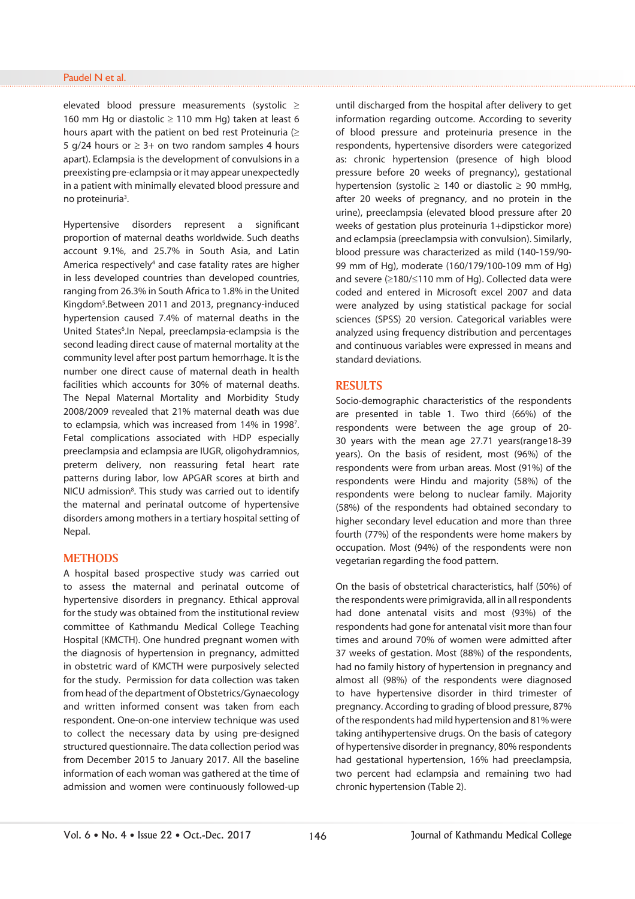elevated blood pressure measurements (systolic  $\ge$ 160 mm Hg or diastolic  $\ge$  110 mm Hg) taken at least 6 hours apart with the patient on bed rest Proteinuria  $( \geq 1)$ 5 g/24 hours or  $\geq$  3+ on two random samples 4 hours apart). Eclampsia is the development of convulsions in a preexisting pre-eclampsia or it may appear unexpectedly in a patient with minimally elevated blood pressure and no proteinuria<sup>3</sup>.

Hypertensive disorders represent a significant proportion of maternal deaths worldwide. Such deaths account 9.1%, and 25.7% in South Asia, and Latin America respectively<sup>4</sup> and case fatality rates are higher in less developed countries than developed countries, ranging from 26.3% in South Africa to 1.8% in the United Kingdom<sup>5</sup>. Between 2011 and 2013, pregnancy-induced hypertension caused 7.4% of maternal deaths in the United States<sup>6</sup>. In Nepal, preeclampsia-eclampsia is the second leading direct cause of maternal mortality at the community level after post partum hemorrhage. It is the number one direct cause of maternal death in health facilities which accounts for 30% of maternal deaths. The Nepal Maternal Mortality and Morbidity Study 2008/2009 revealed that 21% maternal death was due to eclampsia, which was increased from 14% in 1998<sup>7</sup>. Fetal complications associated with HDP especially preeclampsia and eclampsia are IUGR, oligohydramnios, preterm delivery, non reassuring fetal heart rate patterns during labor, low APGAR scores at birth and NICU admission<sup>8</sup>. This study was carried out to identify the maternal and perinatal outcome of hypertensive disorders among mothers in a tertiary hospital setting of Nepal.

## **METHODS**

A hospital based prospective study was carried out to assess the maternal and perinatal outcome of hypertensive disorders in pregnancy. Ethical approval for the study was obtained from the institutional review committee of Kathmandu Medical College Teaching Hospital (KMCTH). One hundred pregnant women with the diagnosis of hypertension in pregnancy, admitted in obstetric ward of KMCTH were purposively selected for the study. Permission for data collection was taken from head of the department of Obstetrics/Gynaecology and written informed consent was taken from each respondent. One-on-one interview technique was used to collect the necessary data by using pre-designed structured questionnaire. The data collection period was from December 2015 to January 2017. All the baseline information of each woman was gathered at the time of admission and women were continuously followed-up

until discharged from the hospital after delivery to get information regarding outcome. According to severity of blood pressure and proteinuria presence in the respondents, hypertensive disorders were categorized as: chronic hypertension (presence of high blood pressure before 20 weeks of pregnancy), gestational hypertension (systolic  $\ge$  140 or diastolic  $\ge$  90 mmHg, after 20 weeks of pregnancy, and no protein in the urine), preeclampsia (elevated blood pressure after 20 weeks of gestation plus proteinuria 1+dipstickor more) and eclampsia (preeclampsia with convulsion). Similarly, blood pressure was characterized as mild (140-159/90- 99 mm of Hg), moderate (160/179/100-109 mm of Hg) and severe  $(≥180/≤110$  mm of Hg). Collected data were coded and entered in Microsoft excel 2007 and data were analyzed by using statistical package for social sciences (SPSS) 20 version. Categorical variables were analyzed using frequency distribution and percentages and continuous variables were expressed in means and standard deviations.

#### **RESULTS**

Socio-demographic characteristics of the respondents are presented in table 1. Two third (66%) of the respondents were between the age group of 20- 30 years with the mean age 27.71 years(range18-39 years). On the basis of resident, most (96%) of the respondents were from urban areas. Most (91%) of the respondents were Hindu and majority (58%) of the respondents were belong to nuclear family. Majority (58%) of the respondents had obtained secondary to higher secondary level education and more than three fourth (77%) of the respondents were home makers by occupation. Most (94%) of the respondents were non vegetarian regarding the food pattern.

On the basis of obstetrical characteristics, half (50%) of the respondents were primigravida, all in all respondents had done antenatal visits and most (93%) of the respondents had gone for antenatal visit more than four times and around 70% of women were admitted after 37 weeks of gestation. Most (88%) of the respondents, had no family history of hypertension in pregnancy and almost all (98%) of the respondents were diagnosed to have hypertensive disorder in third trimester of pregnancy. According to grading of blood pressure, 87% of the respondents had mild hypertension and 81% were taking antihypertensive drugs. On the basis of category of hypertensive disorder in pregnancy, 80% respondents had gestational hypertension, 16% had preeclampsia, two percent had eclampsia and remaining two had chronic hypertension (Table 2).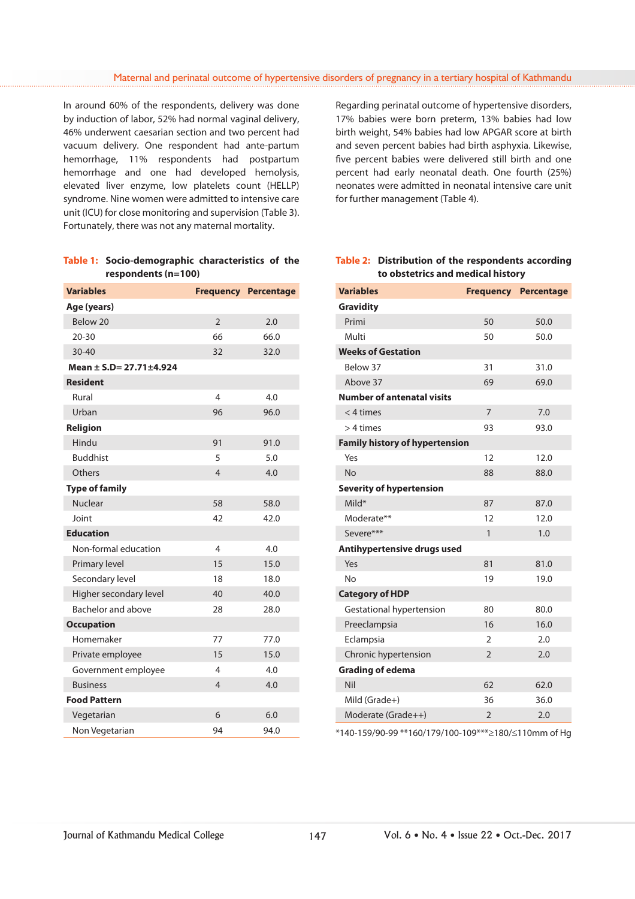In around 60% of the respondents, delivery was done by induction of labor, 52% had normal vaginal delivery, 46% underwent caesarian section and two percent had vacuum delivery. One respondent had ante-partum hemorrhage, 11% respondents had postpartum hemorrhage and one had developed hemolysis, elevated liver enzyme, low platelets count (HELLP) syndrome. Nine women were admitted to intensive care unit (ICU) for close monitoring and supervision (Table 3). Fortunately, there was not any maternal mortality.

| Table 1: Socio-demographic characteristics of the |  |  |
|---------------------------------------------------|--|--|
| respondents $(n=100)$                             |  |  |

| <b>Variables</b>        |                | <b>Frequency Percentage</b> |  |  |  |
|-------------------------|----------------|-----------------------------|--|--|--|
| Age (years)             |                |                             |  |  |  |
| Below 20                | $\overline{2}$ | 2.0                         |  |  |  |
| $20 - 30$               | 66             | 66.0                        |  |  |  |
| $30 - 40$               | 32             | 32.0                        |  |  |  |
| Mean ± S.D= 27.71±4.924 |                |                             |  |  |  |
| <b>Resident</b>         |                |                             |  |  |  |
| Rural                   | 4              | 4.0                         |  |  |  |
| Urban                   | 96             | 96.0                        |  |  |  |
| Religion                |                |                             |  |  |  |
| Hindu                   | 91             | 91.0                        |  |  |  |
| <b>Buddhist</b>         | 5              | 5.0                         |  |  |  |
| Others                  | 4              | 4.0                         |  |  |  |
| <b>Type of family</b>   |                |                             |  |  |  |
| <b>Nuclear</b>          | 58             | 58.0                        |  |  |  |
| Joint                   | 42             | 42.0                        |  |  |  |
| <b>Education</b>        |                |                             |  |  |  |
| Non-formal education    | 4              | 4.0                         |  |  |  |
| Primary level           | 15             | 15.0                        |  |  |  |
| Secondary level         | 18             | 18.0                        |  |  |  |
| Higher secondary level  | 40             | 40.0                        |  |  |  |
| Bachelor and above      | 28             | 28.0                        |  |  |  |
| <b>Occupation</b>       |                |                             |  |  |  |
| Homemaker               | 77             | 77.0                        |  |  |  |
| Private employee        | 15             | 15.0                        |  |  |  |
| Government employee     | 4              | 4.0                         |  |  |  |
| <b>Business</b>         | 4              | 4.0                         |  |  |  |
| <b>Food Pattern</b>     |                |                             |  |  |  |
| Vegetarian              | 6              | 6.0                         |  |  |  |
| Non Vegetarian          | 94             | 94.0                        |  |  |  |

Regarding perinatal outcome of hypertensive disorders, 17% babies were born preterm, 13% babies had low birth weight, 54% babies had low APGAR score at birth and seven percent babies had birth asphyxia. Likewise, five percent babies were delivered still birth and one percent had early neonatal death. One fourth (25%) neonates were admitted in neonatal intensive care unit for further management (Table 4).

# **Table 2: Distribution of the respondents according to obstetrics and medical history**

| <b>Variables</b>                      |                | <b>Frequency Percentage</b> |
|---------------------------------------|----------------|-----------------------------|
| <b>Gravidity</b>                      |                |                             |
| Primi                                 | 50             | 50.0                        |
| Multi                                 | 50             | 50.0                        |
| <b>Weeks of Gestation</b>             |                |                             |
| Below 37                              | 31             | 31.0                        |
| Above 37                              | 69             | 69.0                        |
| <b>Number of antenatal visits</b>     |                |                             |
| $<$ 4 times                           | $\overline{7}$ | 7.0                         |
| $>4$ times                            | 93             | 93.0                        |
| <b>Family history of hypertension</b> |                |                             |
| Yes                                   | 12             | 12.0                        |
| <b>No</b>                             | 88             | 88.0                        |
| <b>Severity of hypertension</b>       |                |                             |
| Mild*                                 | 87             | 87.0                        |
| Moderate**                            | 12             | 12.0                        |
| Severe***                             | $\mathbf{1}$   | 1.0                         |
| Antihypertensive drugs used           |                |                             |
| Yes                                   | 81             | 81.0                        |
| Nο                                    | 19             | 19.0                        |
| <b>Category of HDP</b>                |                |                             |
| Gestational hypertension              | 80             | 80.0                        |
| Preeclampsia                          | 16             | 16.0                        |
| Eclampsia                             | $\overline{2}$ | 2.0                         |
| Chronic hypertension                  | $\overline{2}$ | 2.0                         |
| <b>Grading of edema</b>               |                |                             |
| Nil                                   | 62             | 62.0                        |
| Mild (Grade+)                         | 36             | 36.0                        |
| Moderate (Grade++)                    | $\overline{2}$ | 2.0                         |

 $*140-159/90-99**160/179/100-109***\geq180/\leq110$ mm of Hg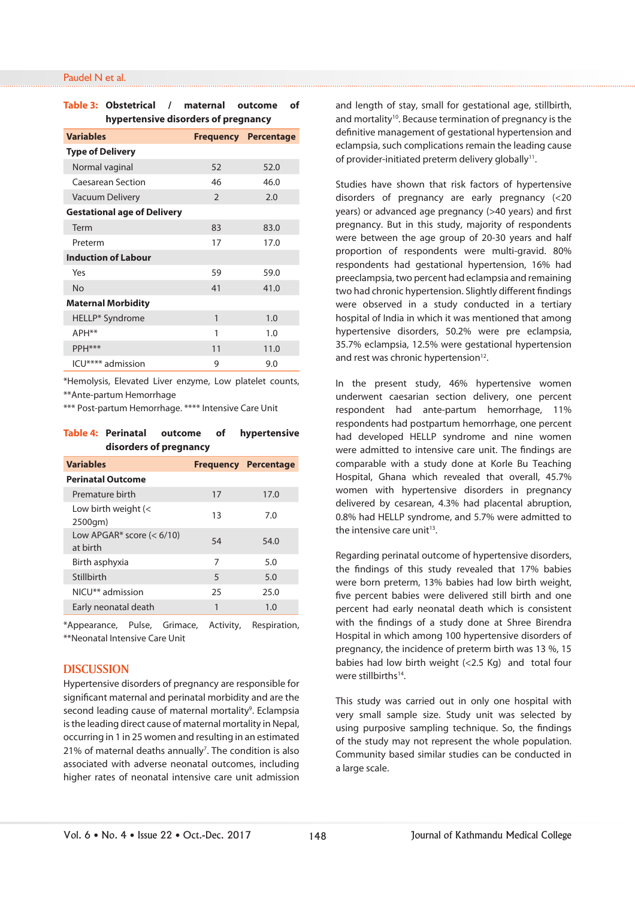#### Paudel N et al.

## **Table 3: Obstetrical / maternal outcome of hypertensive disorders of pregnancy**

| <b>Variables</b>                   |               | <b>Frequency Percentage</b> |  |
|------------------------------------|---------------|-----------------------------|--|
| <b>Type of Delivery</b>            |               |                             |  |
| Normal vaginal                     | 52            | 52.0                        |  |
| Caesarean Section                  | 46            | 46.0                        |  |
| Vacuum Delivery                    | $\mathcal{P}$ | 2.0                         |  |
| <b>Gestational age of Delivery</b> |               |                             |  |
| Term                               | 83            | 83.0                        |  |
| Preterm                            | 17            | 17.0                        |  |
| <b>Induction of Labour</b>         |               |                             |  |
| Yes                                | 59            | 59.0                        |  |
| <b>No</b>                          | 41            | 41.0                        |  |
| <b>Maternal Morbidity</b>          |               |                             |  |
| HELLP* Syndrome                    | 1             | 1.0                         |  |
| APH <sup>**</sup>                  | 1             | 1.0                         |  |
| PPH***                             | 11            | 11.0                        |  |
| ICU**** admission                  | 9             | 9.0                         |  |

\*Hemolysis, Elevated Liver enzyme, Low platelet counts, \*\*Ante-partum Hemorrhage

\*\*\* Post-partum Hemorrhage. \*\*\*\* Intensive Care Unit

#### **Table 4: Perinatal outcome of hypertensive disorders of pregnancy**

| <b>Variables</b>                                         |    | <b>Frequency Percentage</b> |
|----------------------------------------------------------|----|-----------------------------|
| <b>Perinatal Outcome</b>                                 |    |                             |
| Premature birth                                          | 17 | 17.0                        |
| Low birth weight $\left\langle \right\rangle$<br>2500gm) | 13 | 7.0                         |
| Low APGAR* score $(< 6/10)$<br>at birth                  | 54 | 54.0                        |
| Birth asphyxia                                           | 7  | 5.0                         |
| Stillbirth                                               | 5  | 5.0                         |
| NICU <sup>**</sup> admission                             | 25 | 25.0                        |
| Early neonatal death                                     | 1  | 1.0                         |

\*Appearance, Pulse, Grimace, Activity, Respiration, \*\*Neonatal Intensive Care Unit

## **DISCUSSION**

Hypertensive disorders of pregnancy are responsible for significant maternal and perinatal morbidity and are the second leading cause of maternal mortality<sup>9</sup>. Eclampsia is the leading direct cause of maternal mortality in Nepal, occurring in 1 in 25 women and resulting in an estimated 21% of maternal deaths annually<sup>7</sup>. The condition is also associated with adverse neonatal outcomes, including higher rates of neonatal intensive care unit admission and length of stay, small for gestational age, stillbirth, and mortality<sup>10</sup>. Because termination of pregnancy is the definitive management of gestational hypertension and eclampsia, such complications remain the leading cause of provider-initiated preterm delivery globally<sup>11</sup>.

Studies have shown that risk factors of hypertensive disorders of pregnancy are early pregnancy (<20 years) or advanced age pregnancy (>40 years) and first pregnancy. But in this study, majority of respondents were between the age group of 20-30 years and half proportion of respondents were multi-gravid. 80% respondents had gestational hypertension, 16% had preeclampsia, two percent had eclampsia and remaining two had chronic hypertension. Slightly different findings were observed in a study conducted in a tertiary hospital of India in which it was mentioned that among hypertensive disorders, 50.2% were pre eclampsia, 35.7% eclampsia, 12.5% were gestational hypertension and rest was chronic hypertension<sup>12</sup>.

In the present study, 46% hypertensive women underwent caesarian section delivery, one percent respondent had ante-partum hemorrhage, 11% respondents had postpartum hemorrhage, one percent had developed HELLP syndrome and nine women were admitted to intensive care unit. The findings are comparable with a study done at Korle Bu Teaching Hospital, Ghana which revealed that overall, 45.7% women with hypertensive disorders in pregnancy delivered by cesarean, 4.3% had placental abruption, 0.8% had HELLP syndrome, and 5.7% were admitted to the intensive care unit $13$ .

Regarding perinatal outcome of hypertensive disorders, the findings of this study revealed that 17% babies were born preterm, 13% babies had low birth weight, five percent babies were delivered still birth and one percent had early neonatal death which is consistent with the findings of a study done at Shree Birendra Hospital in which among 100 hypertensive disorders of pregnancy, the incidence of preterm birth was 13 %, 15 babies had low birth weight (<2.5 Kg) and total four were stillbirths<sup>14</sup>

This study was carried out in only one hospital with very small sample size. Study unit was selected by using purposive sampling technique. So, the findings of the study may not represent the whole population. Community based similar studies can be conducted in a large scale.